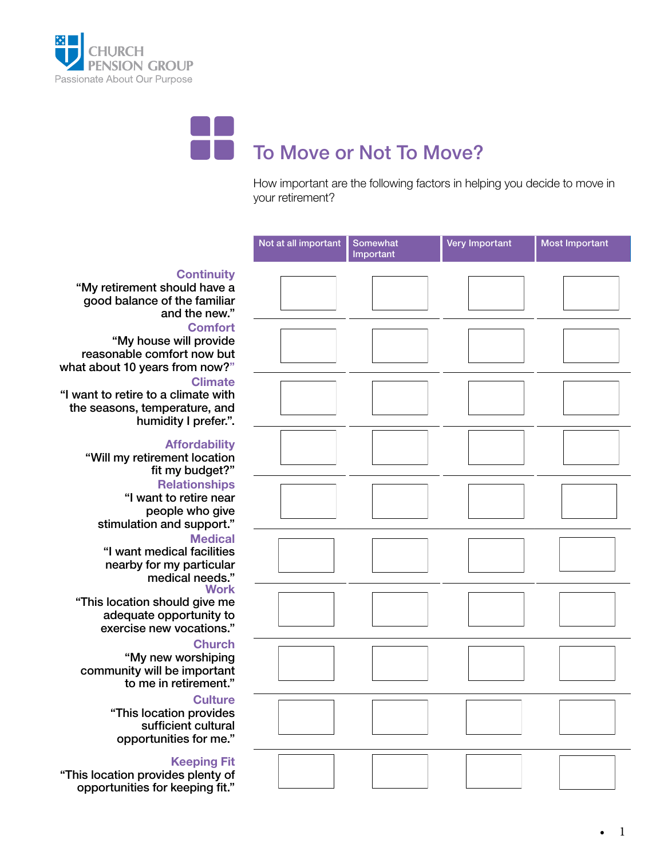



How important are the following factors in helping you decide to move in your retirement?



### **Continuity**

"My retirement should have a good balance of the familiar and the new."

"My house will provide reasonable comfort now but what about 10 years from now?"

"I want to retire to a climate with the seasons, temperature, and humidity I prefer.".

#### **Affordability**

"Will my retirement location fit my budget?"

#### **Relationships**

"I want to retire near people who give stimulation and support."

"I want medical facilities nearby for my particular medical needs."

#### "This location should give me

adequate opportunity to exercise new vocations."

"My new worshiping community will be important to me in retirement."

> "This location provides sufficient cultural opportunities for me."

#### Keeping Fit

"This location provides plenty of opportunities for keeping fit."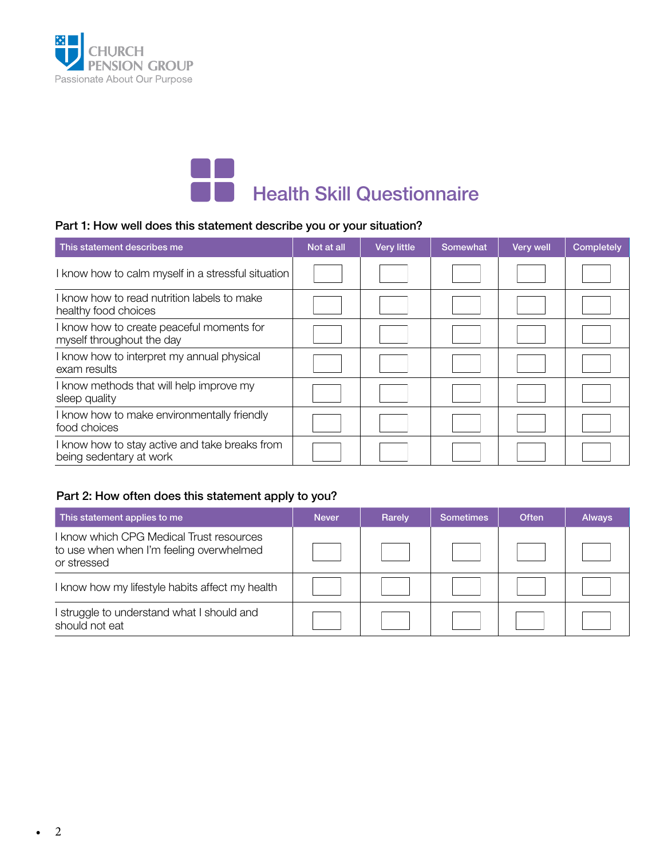



#### Part 1: How well does this statement describe you or your situation?

| This statement describes me                                               | Not at all | <b>Very little</b> | Somewhat | Very well | Completely |
|---------------------------------------------------------------------------|------------|--------------------|----------|-----------|------------|
| I know how to calm myself in a stressful situation                        |            |                    |          |           |            |
| I know how to read nutrition labels to make<br>healthy food choices       |            |                    |          |           |            |
| I know how to create peaceful moments for<br>myself throughout the day    |            |                    |          |           |            |
| I know how to interpret my annual physical<br>exam results                |            |                    |          |           |            |
| I know methods that will help improve my<br>sleep quality                 |            |                    |          |           |            |
| I know how to make environmentally friendly<br>food choices               |            |                    |          |           |            |
| I know how to stay active and take breaks from<br>being sedentary at work |            |                    |          |           |            |

#### Part 2: How often does this statement apply to you?

| This statement applies to me                                                                      | <b>Never</b> | Rarely | Sometimes | <b>Often</b> | <b>Always</b> |
|---------------------------------------------------------------------------------------------------|--------------|--------|-----------|--------------|---------------|
| know which CPG Medical Trust resources<br>to use when when I'm feeling overwhelmed<br>or stressed |              |        |           |              |               |
| know how my lifestyle habits affect my health                                                     |              |        |           |              |               |
| I struggle to understand what I should and<br>should not eat                                      |              |        |           |              |               |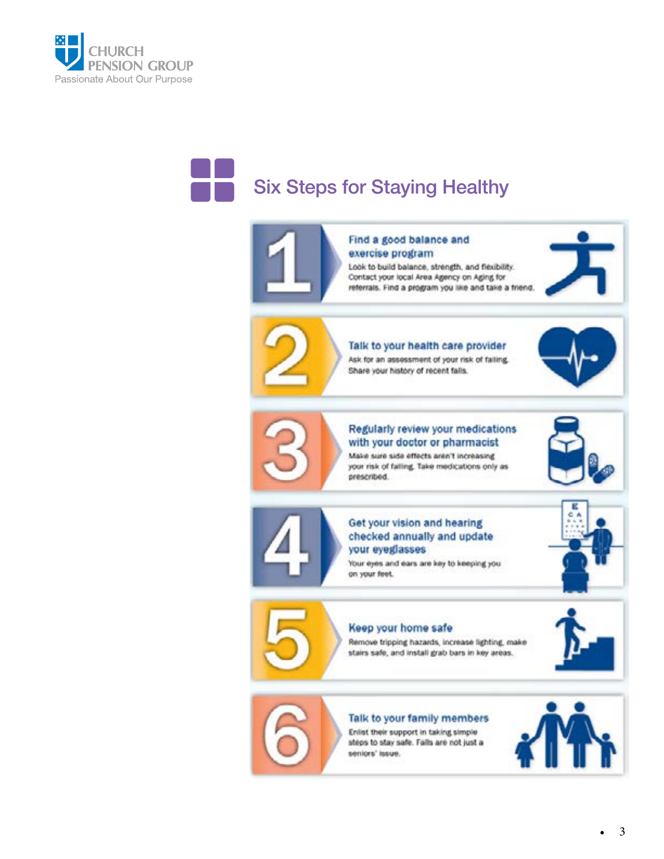



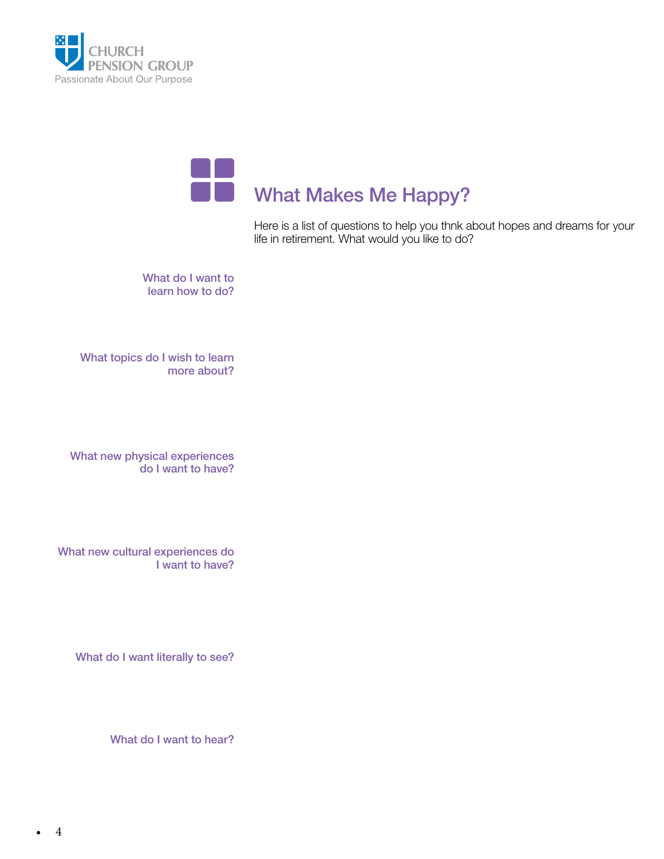



Here is a list of questions to help you thnk about hopes and dreams for your life in retirement. What would you like to do?

What do I want to learn how to do?

What topics do I wish to learn more about?

What new physical experiences do I want to have?

What new cultural experiences do I want to have?

What do I want literally to see?

What do I want to hear?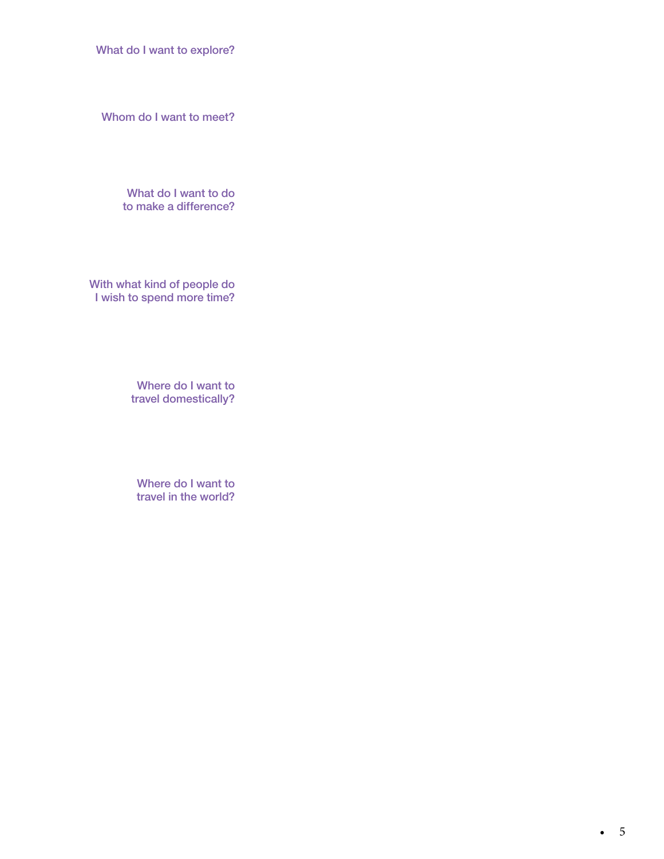What do I want to explore?

Whom do I want to meet?

What do I want to do to make a difference?

With what kind of people do I wish to spend more time?

> Where do I want to travel domestically?

Where do I want to travel in the world?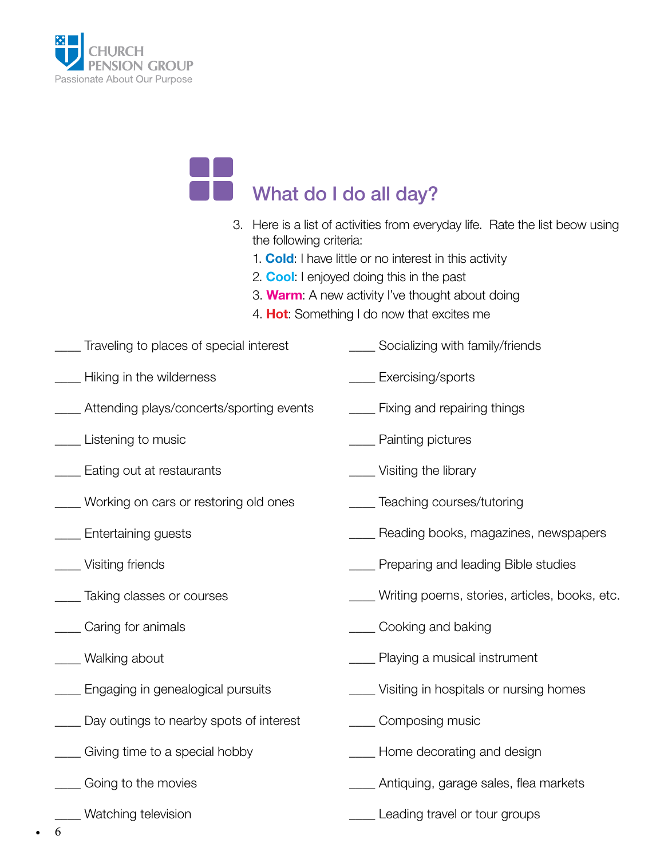

## What do I do all day?

- 3. Here is a list of activities from everyday life. Rate the list beow using the following criteria:
	- 1. Cold: I have little or no interest in this activity
	- 2. **Cool:** I enjoyed doing this in the past
	- 3. **Warm**: A new activity I've thought about doing
	- 4. **Hot:** Something I do now that excites me
- \_\_\_\_ Traveling to places of special interest \_\_\_\_ Hiking in the wilderness **Example 3** Socializing with family/friends Exercising/sports
- \_\_\_\_ Attending plays/concerts/sporting events
- \_\_\_\_ Listening to music
- **Eating out at restaurants**
- \_\_\_\_ Working on cars or restoring old ones
- **Entertaining guests**
- \_\_\_\_ Visiting friends
- **with Taking classes or courses**
- \_\_\_\_ Caring for animals
- \_\_\_\_ Walking about
- \_\_\_\_ Engaging in genealogical pursuits
- \_\_\_\_ Day outings to nearby spots of interest
- \_\_\_\_ Giving time to a special hobby
- \_\_\_\_ Going to the movies
	- \_\_\_\_ Watching television
- **Example 1** Fixing and repairing things \_\_\_\_ Painting pictures \_\_\_\_ Visiting the library \_\_\_\_ Teaching courses/tutoring \_\_\_\_ Reading books, magazines, newspapers **Example 20 Preparing and leading Bible studies** \_\_\_\_ Writing poems, stories, articles, books, etc. \_\_\_\_ Cooking and baking \_\_\_\_ Playing a musical instrument \_\_\_\_ Visiting in hospitals or nursing homes \_\_\_\_ Composing music \_\_\_\_ Home decorating and design Antiquing, garage sales, flea markets
	- \_\_\_\_ Leading travel or tour groups

• 6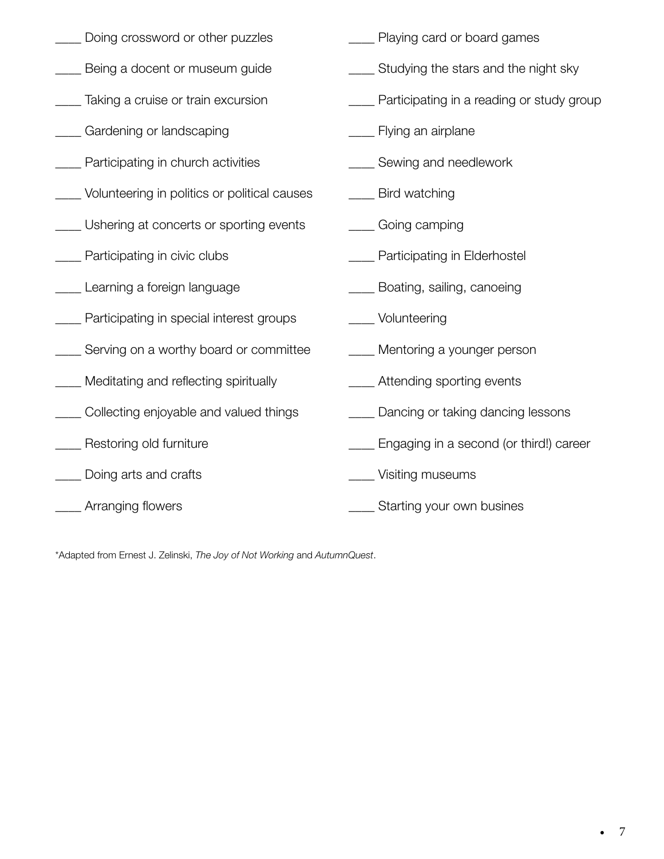| Doing crossword or other puzzles                | Playing card or board games                  |
|-------------------------------------------------|----------------------------------------------|
| Being a docent or museum guide                  | ___ Studying the stars and the night sky     |
| Taking a cruise or train excursion              | __ Participating in a reading or study group |
| Gardening or landscaping                        | ____ Flying an airplane                      |
| Participating in church activities              | Sewing and needlework                        |
| __ Volunteering in politics or political causes | __ Bird watching                             |
| __ Ushering at concerts or sporting events      | ____ Going camping                           |
| __ Participating in civic clubs                 | Participating in Elderhostel                 |
| ___ Learning a foreign language                 | ____ Boating, sailing, canoeing              |
| Participating in special interest groups        | Volunteering                                 |
| __ Serving on a worthy board or committee       | ___ Mentoring a younger person               |
| __ Meditating and reflecting spiritually        | ___ Attending sporting events                |
| Collecting enjoyable and valued things          | Dancing or taking dancing lessons            |
| Restoring old furniture                         | ___ Engaging in a second (or third!) career  |
| Doing arts and crafts                           | Visiting museums                             |
| Arranging flowers                               | Starting your own busines                    |

\*Adapted from Ernest J. Zelinski, *The Joy of Not Working* and *AutumnQuest*.